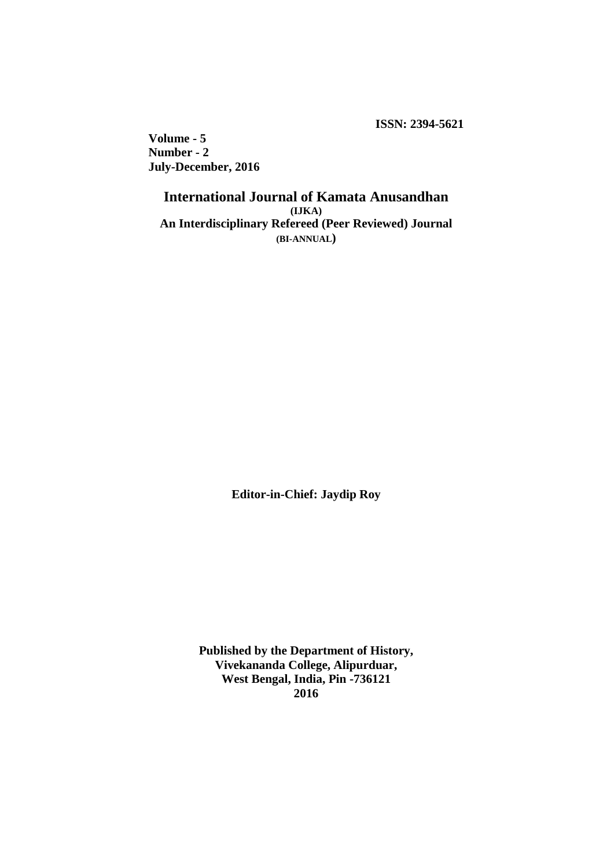**ISSN: 2394-5621**

**Volume - 5 Number - 2 July-December, 2016**

> **International Journal of Kamata Anusandhan (IJKA) An Interdisciplinary Refereed (Peer Reviewed) Journal (BI-ANNUAL)**

> > **Editor-in-Chief: Jaydip Roy**

**Published by the Department of History, Vivekananda College, Alipurduar, West Bengal, India, Pin -736121 2016**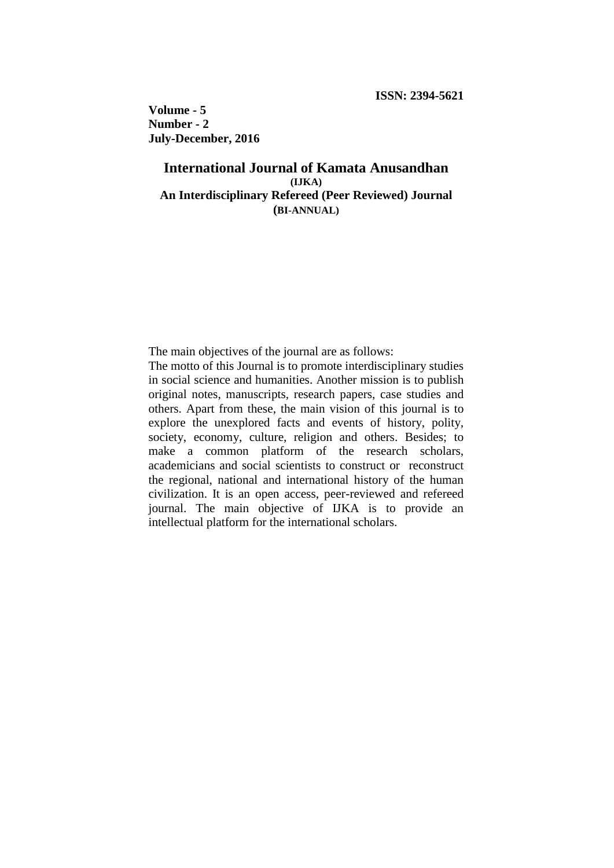**Volume - 5 Number - 2 July-December, 2016**

## **International Journal of Kamata Anusandhan (IJKA) An Interdisciplinary Refereed (Peer Reviewed) Journal (BI-ANNUAL)**

The main objectives of the journal are as follows:

The motto of this Journal is to promote interdisciplinary studies in social science and humanities. Another mission is to publish original notes, manuscripts, research papers, case studies and others. Apart from these, the main vision of this journal is to explore the unexplored facts and events of history, polity, society, economy, culture, religion and others. Besides; to make a common platform of the research scholars, academicians and social scientists to construct or reconstruct the regional, national and international history of the human civilization. It is an open access, peer-reviewed and refereed journal. The main objective of IJKA is to provide an intellectual platform for the international scholars.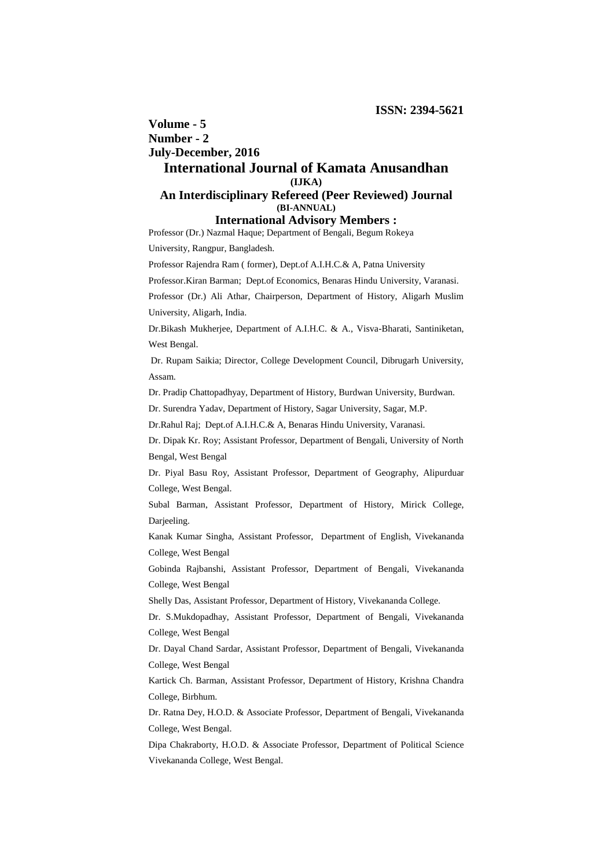# **Volume - 5 Number - 2 July-December, 2016**

## **International Journal of Kamata Anusandhan (IJKA)**

## **An Interdisciplinary Refereed (Peer Reviewed) Journal (BI-ANNUAL)**

### **International Advisory Members :**

Professor (Dr.) Nazmal Haque; Department of Bengali, Begum Rokeya

University, Rangpur, Bangladesh.

Professor Rajendra Ram ( former), Dept.of A.I.H.C.& A, Patna University

Professor.Kiran Barman; Dept.of Economics, Benaras Hindu University, Varanasi.

Professor (Dr.) Ali Athar, Chairperson, Department of History, Aligarh Muslim University, Aligarh, India.

Dr.Bikash Mukherjee, Department of A.I.H.C. & A., Visva-Bharati, Santiniketan, West Bengal.

Dr. Rupam Saikia; Director, College Development Council, Dibrugarh University, Assam.

Dr. Pradip Chattopadhyay, Department of History, Burdwan University, Burdwan.

Dr. Surendra Yadav, Department of History, Sagar University, Sagar, M.P.

Dr.Rahul Raj; Dept.of A.I.H.C.& A, Benaras Hindu University, Varanasi.

Dr. Dipak Kr. Roy; Assistant Professor, Department of Bengali, University of North Bengal, West Bengal

Dr. Piyal Basu Roy, Assistant Professor, Department of Geography, Alipurduar College, West Bengal.

Subal Barman, Assistant Professor, Department of History, Mirick College, Darjeeling.

Kanak Kumar Singha, Assistant Professor, Department of English, Vivekananda College, West Bengal

Gobinda Rajbanshi, Assistant Professor, Department of Bengali, Vivekananda College, West Bengal

Shelly Das, Assistant Professor, Department of History, Vivekananda College.

Dr. S.Mukdopadhay, Assistant Professor, Department of Bengali, Vivekananda College, West Bengal

Dr. Dayal Chand Sardar, Assistant Professor, Department of Bengali, Vivekananda College, West Bengal

Kartick Ch. Barman, Assistant Professor, Department of History, Krishna Chandra College, Birbhum.

Dr. Ratna Dey, H.O.D. & Associate Professor, Department of Bengali, Vivekananda College, West Bengal.

Dipa Chakraborty, H.O.D. & Associate Professor, Department of Political Science Vivekananda College, West Bengal.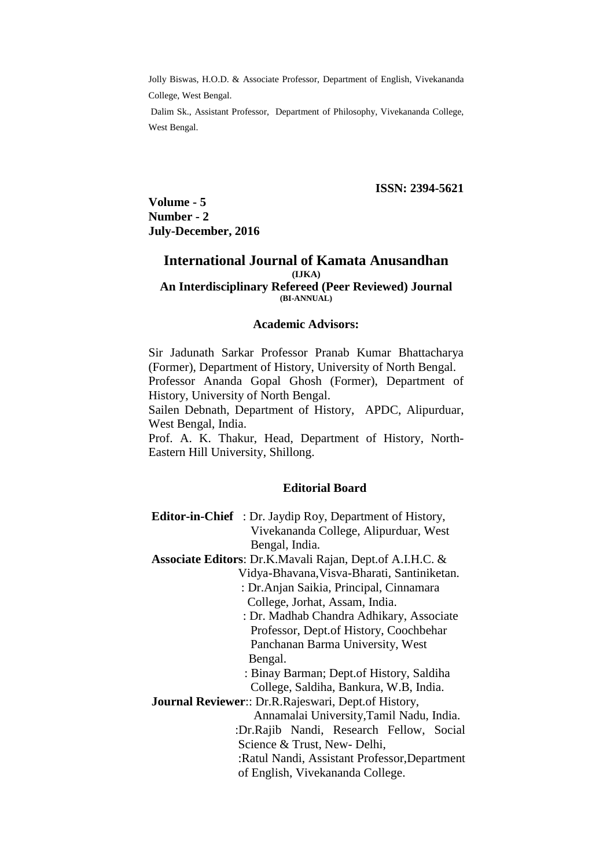Jolly Biswas, H.O.D. & Associate Professor, Department of English, Vivekananda College, West Bengal.

Dalim Sk., Assistant Professor, Department of Philosophy, Vivekananda College, West Bengal.

 **ISSN: 2394-5621**

**Volume - 5 Number - 2 July-December, 2016**

### **International Journal of Kamata Anusandhan (IJKA)**

#### **An Interdisciplinary Refereed (Peer Reviewed) Journal (BI-ANNUAL)**

#### **Academic Advisors:**

Sir Jadunath Sarkar Professor Pranab Kumar Bhattacharya (Former), Department of History, University of North Bengal. Professor Ananda Gopal Ghosh (Former), Department of History, University of North Bengal.

Sailen Debnath, Department of History, APDC, Alipurduar, West Bengal, India.

Prof. A. K. Thakur, Head, Department of History, North-Eastern Hill University, Shillong.

### **Editorial Board**

- **Editor-in-Chief** : Dr. Jaydip Roy, Department of History, Vivekananda College, Alipurduar, West Bengal, India.
- **Associate Editors**: Dr.K.Mavali Rajan, Dept.of A.I.H.C. &
	- Vidya-Bhavana,Visva-Bharati, Santiniketan.
		- : Dr.Anjan Saikia, Principal, Cinnamara College, Jorhat, Assam, India.

 : Dr. Madhab Chandra Adhikary, Associate Professor, Dept.of History, Coochbehar Panchanan Barma University, West Bengal.

 : Binay Barman; Dept.of History, Saldiha College, Saldiha, Bankura, W.B, India.

**Journal Reviewer**:: Dr.R.Rajeswari, Dept.of History, Annamalai University,Tamil Nadu, India. :Dr.Rajib Nandi, Research Fellow, Social Science & Trust, New- Delhi, :Ratul Nandi, Assistant Professor,Department of English, Vivekananda College.